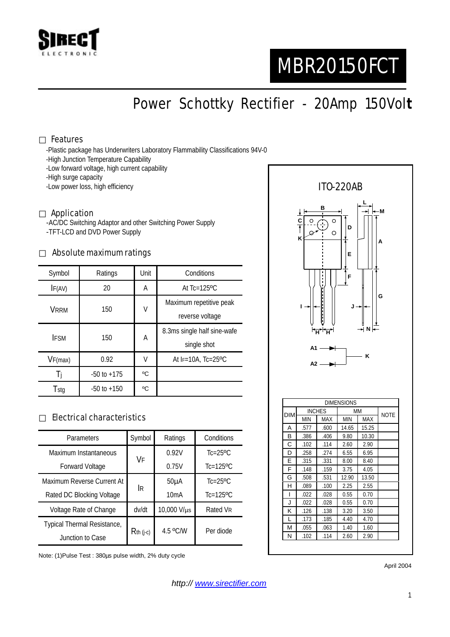

# MBR20150FCT

Power Schottky Rectifier - 20Amp 150Vol**t**

#### Features

-Plastic package has Underwriters Laboratory Flammability Classifications 94V-0

- -High Junction Temperature Capability
- -Low forward voltage, high current capability

-High surge capacity

-Low power loss, high efficiency

#### Application

-AC/DC Switching Adaptor and other Switching Power Supply -TFT-LCD and DVD Power Supply

#### Absolute maximum ratings

| Symbol      | Ratings         | Unit | Conditions                                 |  |
|-------------|-----------------|------|--------------------------------------------|--|
| IF(AV)      | 20              | A    | At $Tc=125$ <sup>o</sup> $C$               |  |
| VRRM        | 150             | V    | Maximum repetitive peak<br>reverse voltage |  |
| <b>IFSM</b> | 150             | А    | 8.3ms single half sine-wafe<br>single shot |  |
| VF(max)     | 0.92            | V    | At $F=10A$ , Tc=25°C                       |  |
| Ti          | $-50$ to $+175$ | °C   |                                            |  |
| Tstg        | $-50$ to $+150$ | °C   |                                            |  |

#### Electrical characteristics

| Parameters                  | Symbol       | Ratings           | Conditions                 |
|-----------------------------|--------------|-------------------|----------------------------|
| Maximum Instantaneous       | VF           | 0.92V             | $Tc=25$ <sup>o</sup> $C$   |
| <b>Forward Voltage</b>      |              | 0.75V             | $Tc=125$ <sup>o</sup> $C$  |
| Maximum Reverse Current At  | <b>IR</b>    | 50 <sub>µ</sub> A | $Tc = 25$ <sup>o</sup> $C$ |
| Rated DC Blocking Voltage   |              | 10mA              | $Tc=125$ <sup>o</sup> $C$  |
| Voltage Rate of Change      | dv/dt        | 10,000 V/µs       | Rated VR                   |
| Typical Thermal Resistance, | $R$ th (j-c) | 4.5 °C/W          | Per diode                  |
| Junction to Case            |              |                   |                            |

Note: (1)Pulse Test : 380µs pulse width, 2% duty cycle



N .102 .114 2.60 2.90

April 2004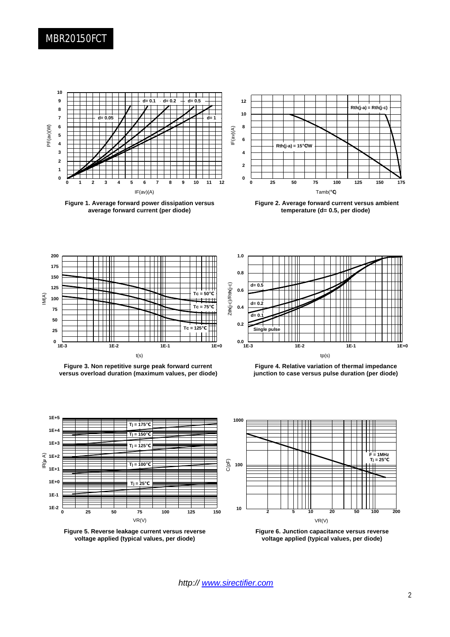### MBR20150FCT



**Figure 1. Average forward power dissipation versus average forward current (per diode)**



**Figure 2. Average forward current versus ambient temperature (d= 0.5, per diode)**







**Figure 4. Relative variation of thermal impedance junction to case versus pulse duration (per diode)**



**Figure 5. Reverse leakage current versus reverse voltage applied (typical values, per diode)**



**Figure 6. Junction capacitance versus reverse voltage applied (typical values, per diode)**

*http:// www.sirectifier.com*